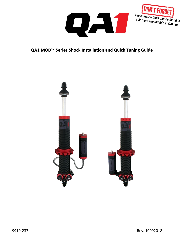



# **QA1 MOD™ Series Shock Installation and Quick Tuning Guide**

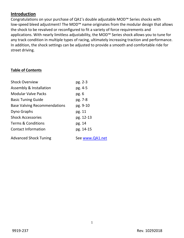## **Introduction**

Congratulations on your purchase of QA1's double adjustable MOD™ Series shocks with low-speed bleed adjustment! The MOD™ name originates from the modular design that allows the shock to be revalved or reconfigured to fit a variety of force requirements and applications. With nearly limitless adjustability, the MOD™ Series shock allows you to tune for any track condition in multiple types of racing, ultimately increasing traction and performance. In addition, the shock settings can be adjusted to provide a smooth and comfortable ride for street driving.

## **Table of Contents**

| <b>Shock Overview</b>               | pg. 2-3         |
|-------------------------------------|-----------------|
| Assembly & Installation             | pg. 4-5         |
| <b>Modular Valve Packs</b>          | pg.6            |
| <b>Basic Tuning Guide</b>           | pg. 7-8         |
| <b>Base Valving Recommendations</b> | pg. 9-10        |
| Dyno Graphs                         | pg. 11          |
| <b>Shock Accessories</b>            | pg. 12-13       |
| <b>Terms &amp; Conditions</b>       | pg. 14          |
| <b>Contact Information</b>          | pg. 14-15       |
| <b>Advanced Shock Tuning</b>        | See www.QA1.net |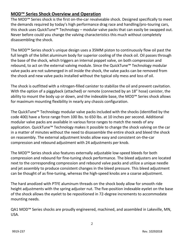## **MOD™ Series Shock Overview and Operation**

The MOD™ Series shock is the first on-the-car revalveable shock. Designed specifically to meet the demands required by today's high performance drag race and handling/pro-touring cars, this shock uses QuickTune™ Technology – modular valve packs that can easily be swapped out. Never before could you change the valving characteristics this much without completely disassembling the shock.

The MOD™ Series shock's unique design uses a 35MM piston to continuously flow oil past the full length of the billet aluminum body for superior cooling of the shock oil. Oil passes through the base of the shock, which triggers an internal poppet valve, on both compression and rebound, to act on the external valving module. Since the QuickTune™ Technology modular valve packs are not submerged in oil inside the shock, the valve packs can be removed from the shock and new valve packs installed without the typical oily mess and loss of oil.

The shock is outfitted with a nitrogen-filled canister to stabilize the oil and prevent cavitation. With the option of a piggyback (attached) or remote (connected by an 18" hose) canister, the ability to mount the body up or down, and the indexable base, the MOD™ Series shock allows for maximum mounting flexibility in nearly any chassis configuration.

The QuickTune™ Technology modular valve packs included with the shocks (identified by the code 400) have a force range from 100 lbs. to 650 lbs. at 10 inches per second. Additional modular valve packs are available in various force ranges to match the needs of any application. QuickTune™ Technology makes it possible to change the shock valving on the car in a matter of minutes without the need to disassemble the entire shock and bleed the shock on reassembly. The external adjustment knobs allow easy and consistent on-the-car compression and rebound adjustment with 24 adjustments per knob.

The MOD™ Series shock also features externally adjustable low-speed bleeds for both compression and rebound for fine-tuning shock performance. The bleed adjusters are located next to the corresponding compression and rebound valve packs and utilize a unique needle and jet assembly to produce consistent changes in the bleed pressure. This bleed adjustment can be thought of as fine-tuning, whereas the high-speed knobs are a coarse adjustment.

The hard anodized with PTFE aluminum threads on the shock body allow for smooth ride height adjustments with the spring adjuster nut. The five-position indexable eyelet on the base of the shock allows the eyelet to be repositioned in 72-degree increments to accommodate mounting needs.

QA1 MOD<sup>™</sup> Series shocks are proudly engineered, machined, and assembled in Lakeville, MN, USA.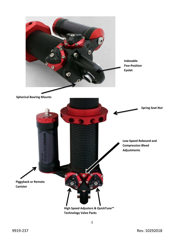

**Technology Valve Packs**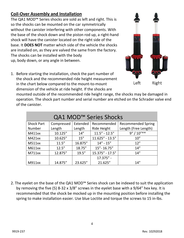# **Coil-Over Assembly and Installation**

The QA1 MOD™ Series shocks are sold as left and right. This is so the shocks can be mounted on the car symmetrically without the canister interfering with other components. With the base of the shock down and the piston rod up, a right-hand shock will have the canister located on the right side of the base. It **DOES NOT** matter which side of the vehicle the shocks are installed on, as they are valved the same from the factory. The shocks can be installed with the body up, body down, or any angle in between.



1. Before starting the installation, check the part number of the shock and the recommended ride height measurement in the chart below compared to the mount-to-mount dimension of the vehicle at ride height. If the shocks are

mounted outside of the recommended ride height range, the shocks may be damaged in operation. The shock part number and serial number are etched on the Schrader valve end of the canister.

| QA1 MOD <sup>™</sup> Series Shocks |            |          |                   |                           |
|------------------------------------|------------|----------|-------------------|---------------------------|
| <b>Shock Part</b>                  | Compressed | Extended | Recommended       | <b>Recommended Spring</b> |
| Number                             | Length     | Length   | Ride Height       | Length (Free Length)      |
| M411xx                             | 10.125"    | 14''     | $11.5" - 12.5"$   | $9" / 10"$ **             |
| M421xx                             | 10.625"    | 15''     | $11.625" - 13.5"$ | 10''                      |
| <b>M511xx</b>                      | 11.5''     | 16.875"  | $14'' - 15''$     | 12"                       |
| M611xx                             | 12.5''     | 18.75"   | 15"-16.75"        | 14"                       |
| M711xx                             | 12.875"    | 19.5''   | 15.375" - 17.5"   | 14''                      |
|                                    |            |          | 17.375" -         |                           |
| M911xx                             | 14.875"    | 23.625"  | 21.625"           | 14"                       |

2. The eyelet on the base of the QA1 MOD™ Series shock can be indexed to suit the application by removing the five (5) 8-32 x 3/8" screws in the eyelet base with a 9/64" hex key. It is recommended that the shock be mocked up in the mounting position before installing the spring to make installation easier. Use blue Loctite and torque the screws to 15 in-lbs.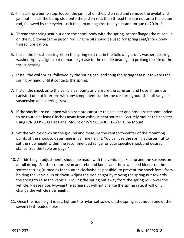- 3. If installing a bump stop, loosen the jam nut on the piston rod and remove the eyelet and jam nut. Install the bump stop onto the piston rod, then thread the jam nut onto the piston rod, followed by the eyelet. Lock the jam nut against the eyelet and torque to 20 lb.-ft.
- 4. Thread the spring seat nut onto the shock body with the spring locator flange (the raised lip on the nut) towards the piston rod. Engine oil should be used for spring seat/shock body thread lubrication.
- 5. Install the thrust bearing kit on the spring seat nut in the following order: washer, bearing, washer. Apply a light coat of marine grease to the needle bearings to prolong the life of the thrust bearing.
- 6. Install the coil spring, followed by the spring cap, and snug the spring seat nut towards the spring by hand until it contacts the spring.
- 7. Install the shock onto the vehicle's mounts and ensure the canister (and hose, if remote canister) do not interfere with any components under the car throughout the full range of suspension and steering travel.
- 8. If the shocks are equipped with a remote canister: the canister and hose are recommended to be routed at least 6 inches away from exhaust heat sources. Securely mount the canister using P/N 9039-308 Flat Panel Mount or P/N 9039-305 1-1/4" Tube Mount.
- 9. Set the vehicle down on the ground and measure the center-to-center of the mounting points of the shock to determine initial ride height. You can use the spring adjuster nut to set the ride height within the recommended range for your specific shock and desired stance. See the table on page 4.
- 10. All ride height adjustments should be made with the vehicle jacked up and the suspension at full droop. Set the compression and rebound knobs and the low-speed bleeds on the softest setting (turned as far counter-clockwise as possible) to prevent the shock force from holding the vehicle up or down. Adjust the ride height by moving the spring nut towards the spring to raise the vehicle. Moving the spring nut away from the spring will lower the vehicle. Please note: Moving the spring nut will not change the spring rate; it will only change the vehicle ride height.
- 11. Once the ride height is set, tighten the nylon set screw on the spring seat nut in one of the seven (7) threaded holes.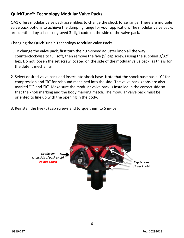## **QuickTune™ Technology Modular Valve Packs**

QA1 offers modular valve pack assemblies to change the shock force range. There are multiple valve pack options to achieve the damping range for your application. The modular valve packs are identified by a laser-engraved 3-digit code on the side of the valve pack.

## Changing the QuickTune™ Technology Modular Valve Packs

- 1. To change the valve pack, first turn the high-speed adjuster knob all the way counterclockwise to full soft, then remove the five (5) cap screws using the supplied 3/32" hex. Do not loosen the set screw located on the side of the modular valve pack, as this is for the detent mechanism.
- 2. Select desired valve pack and insert into shock base. Note that the shock base has a "C" for compression and "R" for rebound machined into the side. The valve pack knobs are also marked "C" and "R". Make sure the modular valve pack is installed in the correct side so that the knob marking and the body marking match. The modular valve pack must be oriented to line up with the opening in the body.
- 3. Reinstall the five (5) cap screws and torque them to 5 in-lbs.

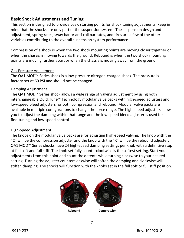## **Basic Shock Adjustments and Tuning**

This section is designed to provide basic starting points for shock tuning adjustments. Keep in mind that the shocks are only part of the suspension system. The suspension design and adjustment, spring rates, sway bar or anti-roll bar rates, and tires are a few of the other variables contributing to the overall suspension system performance.

Compression of a shock is when the two shock mounting points are moving closer together or when the chassis is moving towards the ground. Rebound is when the two shock mounting points are moving further apart or when the chassis is moving away from the ground.

#### Gas Pressure Adjustment

The QA1 MOD™ Series shock is a low-pressure nitrogen-charged shock. The pressure is factory-set at 60 PSI and should not be changed.

## Damping Adjustment

The QA1 MOD™ Series shock allows a wide range of valving adjustment by using both interchangeable QuickTune™ Technology modular valve packs with high-speed adjusters and low-speed bleed adjusters for both compression and rebound. Modular valve packs are available in multiple configurations to change the force range. The high-speed adjusters allow you to adjust the damping within that range and the low-speed bleed adjuster is used for fine-tuning and low-speed control.

## High-Speed Adjustment

The knobs on the modular valve packs are for adjusting high-speed valving. The knob with the "C" will be the compression adjuster and the knob with the "R" will be the rebound adjuster. QA1 MOD™ Series shocks have 24 high-speed damping settings per knob with a definitive stop at full soft and full stiff. The knob set fully counterclockwise is the softest setting. Start your adjustments from this point and count the detents while turning clockwise to your desired setting. Turning the adjuster counterclockwise will soften the damping and clockwise will stiffen damping. The shocks will function with the knobs set in the full soft or full stiff position.

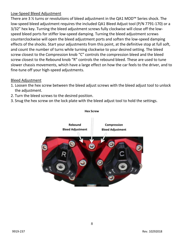## Low-Speed Bleed Adjustment

There are 3 ½ turns or revolutions of bleed adjustment in the QA1 MOD™ Series shock. The low-speed bleed adjustment requires the included QA1 Bleed Adjust tool (P/N 7791-170) or a 3/32" hex key. Turning the bleed adjustment screws fully clockwise will close off the lowspeed bleed ports for stiffer low-speed damping. Turning the bleed adjustment screws counterclockwise will open the bleed adjustment ports and soften the low-speed damping effects of the shocks. Start your adjustments from this point, at the definitive stop at full soft, and count the number of turns while turning clockwise to your desired setting. The bleed screw closest to the Compression knob "C" controls the compression bleed and the bleed screw closest to the Rebound knob "R" controls the rebound bleed. These are used to tune slower chassis movements, which have a large effect on how the car feels to the driver, and to fine-tune off your high-speed adjustments.

#### Bleed Adjustment

- 1. Loosen the hex screw between the bleed adjust screws with the bleed adjust tool to unlock the adjustment.
- 2. Turn the bleed screws to the desired position.
- 3. Snug the hex screw on the lock plate with the bleed adjust tool to hold the settings.

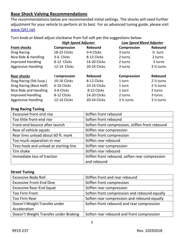## **Base Shock Valving Recommendations**

The recommendations below are recommended initial settings. The shocks will need further adjustment for your vehicle to perform at its best. For an advanced tuning guide, please visit [www.QA1.net.](http://www.qa1.net/)

Turn knob or bleed adjust clockwise from full soft per the suggestions below:

|                            | <b>High Speed Adjuster</b> |                     |                      | <b>Low Speed Bleed Adjuster</b> |  |
|----------------------------|----------------------------|---------------------|----------------------|---------------------------------|--|
| <b>Front shocks</b>        | Compression                | <b>Rebound</b>      | Compression          | Rebound                         |  |
| Drag Racing                | 18-22 Clicks               | 0-4 Clicks          | 3 turns              | $\frac{1}{2}$ turn              |  |
| Nice Ride & Handling       | 3-6 Clicks                 | 8-12 Clicks         | 2 turns              | 2 turns                         |  |
| <b>Improved Handling</b>   | 8-12 Clicks                | 14-20 Clicks        | 2 turns              | 3 turns                         |  |
| <b>Aggressive Handling</b> | 12-14 Clicks               | 20-24 Clicks        | 3 turns              | $3\frac{1}{2}$ turns            |  |
| <b>Rear shocks</b>         | Compression                | <b>Rebound</b>      | <b>Compression</b>   | <b>Rebound</b>                  |  |
| Drag Racing (Stk Susp.)    | 10-16 Clicks               | 8-12 Clicks         | 1 turn               | $2\frac{1}{2}$ turns            |  |
| Drag Racing (Back Half)    | 6-10 Clicks                | 10-16 Clicks        | 1 turn               | $2\frac{1}{2}$ turns            |  |
| Nice Ride and Handling     | 3-6 Clicks                 | 8-12 Clicks         | 1 turn               | 2 turns                         |  |
| <b>Improved Handling</b>   | 8-12 Clicks                | <b>14-20 Clicks</b> | 2 turns              | 3 turns                         |  |
| <b>Aggressive Handling</b> | <b>12-14 Clicks</b>        | 20-24 Clicks        | $3\frac{1}{2}$ turns | $3\frac{1}{2}$ turns            |  |

#### **Drag Racing Tuning**

| <b>Excessive front-end rise</b>        | Stiffen front rebound                           |
|----------------------------------------|-------------------------------------------------|
| Too little front-end rise              | Soften front rebound                            |
| Front-end bounce after launch          | Soften front compression, stiffen front rebound |
| Rear of vehicle squats                 | Stiffen rear compression                        |
| Rear tires unload about 60 ft. mark    | Stiffen front compression                       |
| Too much separation in rear            | Stiffen rear rebound                            |
| Tires hook and unload at starting line | Stiffen rear compression                        |
| Tire shake                             | Stiffen rear rebound                            |
| Immediate loss of traction             | Stiffen front rebound, soften rear compression  |
|                                        | and rebound                                     |

#### **Street Tuning**

| <b>Excessive Body Roll</b>            | Stiffen front and rear rebound               |
|---------------------------------------|----------------------------------------------|
| <b>Excessive Front-End Dive</b>       | Stiffen front compression                    |
| <b>Excessive Rear-End Squat</b>       | Stiffen rear compression                     |
| <b>Too Firm Front</b>                 | Soften front compression and rebound equally |
| <b>Too Firm Rear</b>                  | Soften rear compression and rebound equally  |
| Doesn't Weight Transfer under         | Soften front rebound and rear compression    |
| Acceleration                          |                                              |
| Doesn't Weight Transfer under Braking | Soften rear rebound and front compression    |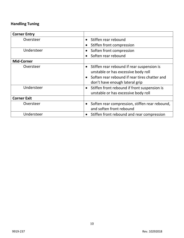# **Handling Tuning**

| <b>Corner Entry</b> |                                                                                     |
|---------------------|-------------------------------------------------------------------------------------|
| Oversteer           | Stiffen rear rebound<br>$\bullet$                                                   |
|                     | Stiffen front compression                                                           |
| Understeer          | Soften front compression                                                            |
|                     | Soften rear rebound                                                                 |
| <b>Mid-Corner</b>   |                                                                                     |
| Oversteer           | Stiffen rear rebound if rear suspension is<br>unstable or has excessive body roll   |
|                     | Soften rear rebound if rear tires chatter and                                       |
|                     | don't have enough lateral grip                                                      |
| Understeer          | Stiffen front rebound if front suspension is<br>unstable or has excessive body roll |
| <b>Corner Exit</b>  |                                                                                     |
| Oversteer           | Soften rear compression, stiffen rear rebound,<br>and soften front rebound          |
| Understeer          | Stiffen front rebound and rear compression                                          |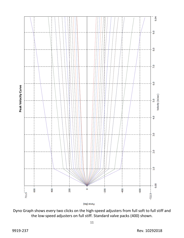

Dyno Graph shows every two clicks on the high-speed adjusters from full soft to full stiff and the low-speed adjusters on full stiff. Standard valve packs (400) shown.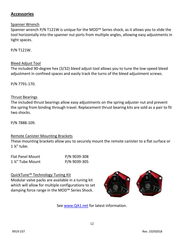## **Accessories**

#### Spanner Wrench

Spanner wrench P/N T121W is unique for the MOD™ Series shock, as it allows you to slide the tool horizontally into the spanner nut ports from multiple angles, allowing easy adjustments in tight spaces.

P/N T121W.

#### Bleed Adjust Tool

The included 90-degree hex (3/32) bleed adjust tool allows you to tune the low-speed bleed adjustment in confined spaces and easily track the turns of the bleed adjustment screws.

P/N 7791-170.

#### Thrust Bearings

The included thrust bearings allow easy adjustments on the spring adjuster nut and prevent the spring from binding through travel. Replacement thrust bearing kits are sold as a pair to fit two shocks.

P/N 7888-109.

#### Remote Canister Mounting Brackets

These mounting brackets allow you to securely mount the remote canister to a flat surface or 1 ¼" tube.

| <b>Flat Panel Mount</b> | P/N 9039-308 |
|-------------------------|--------------|
| 1 %" Tube Mount         | P/N 9039-305 |

#### QuickTune™ Technology Tuning Kit

Modular valve packs are available in a tuning kit which will allow for multiple configurations to set damping force range in the MOD™ Series Shock.



See [www.QA1.net](http://www.qa1.net/) for latest information.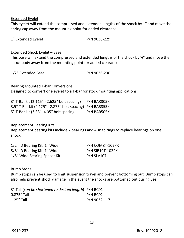Extended Eyelet

This eyelet will extend the compressed and extended lengths of the shock by 1" and move the spring cap away from the mounting point for added clearance.

1" Extended Eyelet P/N 9036-229

#### Extended Shock Eyelet – Base

This base will extend the compressed and extended lengths of the shock by  $\frac{1}{2}$  and move the shock body away from the mounting point for added clearance.

1/2" Extended Base P/N 9036-230

Bearing Mounted T-bar Conversions Designed to convert one eyelet to a T-bar for stock mounting applications.

3" T-Bar kit (2.115" - 2.625" bolt spacing) P/N BAR305K 3.5" T-Bar kit (2.125" - 2.875" bolt spacing) P/N BAR355K 5" T-Bar kit (3.33"- 4.05" bolt spacing) P/N BAR505K

#### Replacement Bearing Kits

Replacement bearing kits include 2 bearings and 4 snap rings to replace bearings on one shock.

| 1/2" ID Bearing Kit, 1" Wide | P/N COM8T-102PK   |
|------------------------------|-------------------|
| 5/8" ID Bearing Kit, 1" Wide | P/N SIB10T-102PK  |
| 1/8" Wide Bearing Spacer Kit | <b>P/N SLV107</b> |

#### Bump Stops

Bump stops can be used to limit suspension travel and prevent bottoming out. Bump stops can also help prevent shock damage in the event the shocks are bottomed out during use.

| 3" Tall (can be shortened to desired length) P/N BC01 |              |
|-------------------------------------------------------|--------------|
| $0.875''$ Tall                                        | $P/N$ BC02   |
| $1.25''$ Tall                                         | P/N 9032-117 |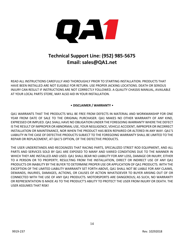

# **Technical Support Line: (952) 985-5675 Email: sales@QA1.net**

READ ALL INSTRUCTIONS CAREFULLY AND THOROUGHLY PRIOR TO STARTING INSTALLATION. PRODUCTS THAT HAVE BEEN INSTALLED ARE NOT ELIGIBLE FOR RETURN. USE PROPER JACKING LOCATIONS. DEATH OR SERIOUS INJURY CAN RESULT IF INSTRUCTIONS ARE NOT CORRECTLY FOLLOWED. A QUALITY CHASSIS MANUAL, AVAILABLE AT YOUR LOCAL PARTS STORE, MAY ALSO AID IN YOUR INSTALLATION.

#### • **DISCLAIMER / WARRANTY** •

QA1 WARRANTS THAT THE PRODUCTS WILL BE FREE FROM DEFECTS IN MATERIAL AND WORKMANSHIP FOR ONE YEAR FROM DATE OF SALE TO THE ORIGINAL PURCHASER. QA1 MAKES NO OTHER WARRANTY OF ANY KIND, EXPRESSED OR IMPLIED. QA1 SHALL HAVE NO OBLIGATION UNDER THE FOREGOING WARRANTY WHERE THE DEFECT IS THE RESULT OF IMPROPER OR ABNORMAL USE, YOUR NEGLIGENCE, VEHICLE ACCIDENT, IMPROPER OR INCORRECT INSTALLATION OR MAINTENANCE, NOR WHEN THE PRODUCT HAS BEEN REPAIRED OR ALTERED IN ANY WAY. QA1'S LIABILITY IN THE CASE OF DEFECTIVE PRODUCTS SUBJECT TO THE FOREGOING WARRANTY SHALL BE LIMITED TO THE REPAIR OR REPLACEMENT, AT QA1'S OPTION, OF THE DEFECTIVE PRODUCTS.

THE USER UNDERSTANDS AND RECOGNIZES THAT RACING PARTS, SPECIALIZED STREET ROD EQUIPMENT, AND ALL PARTS AND SERVICES SOLD BY QA1 ARE EXPOSED TO MANY AND VARIED CONDITIONS DUE TO THE MANNER IN WHICH THEY ARE INSTALLED AND USED. QA1 SHALL BEAR NO LIABILITY FOR ANY LOSS, DAMAGE OR INJURY, EITHER TO A PERSON OR TO PROPERTY, RESULTING FROM THE INSTALLATION, DIRECT OR INDIRECT USE OF ANY QA1 PRODUCTS OR INABILITY BY THE BUYER TO DETERMINE PROPER USE OR APPLICATION OF QA1 PRODUCTS. WITH THE EXCEPTION OF THE LIMITED LIABILITY WARRANTY SET FORTH ABOVE, QA1 SHALL NOT BE LIABLE FOR ANY CLAIMS, DEMANDS, INJURIES, DAMAGES, ACTIONS, OR CAUSES OF ACTION WHATSOEVER TO BUYER ARISING OUT OF OR CONNECTED WITH THE USE OF ANY QA1 PRODUCTS. MOTORSPORTS ARE DANGEROUS; AS SUCH, NO WARRANTY OR REPRESENTATION IS MADE AS TO THE PRODUCT'S ABILITY TO PROTECT THE USER FROM INJURY OR DEATH. THE USER ASSUMES THAT RISK!